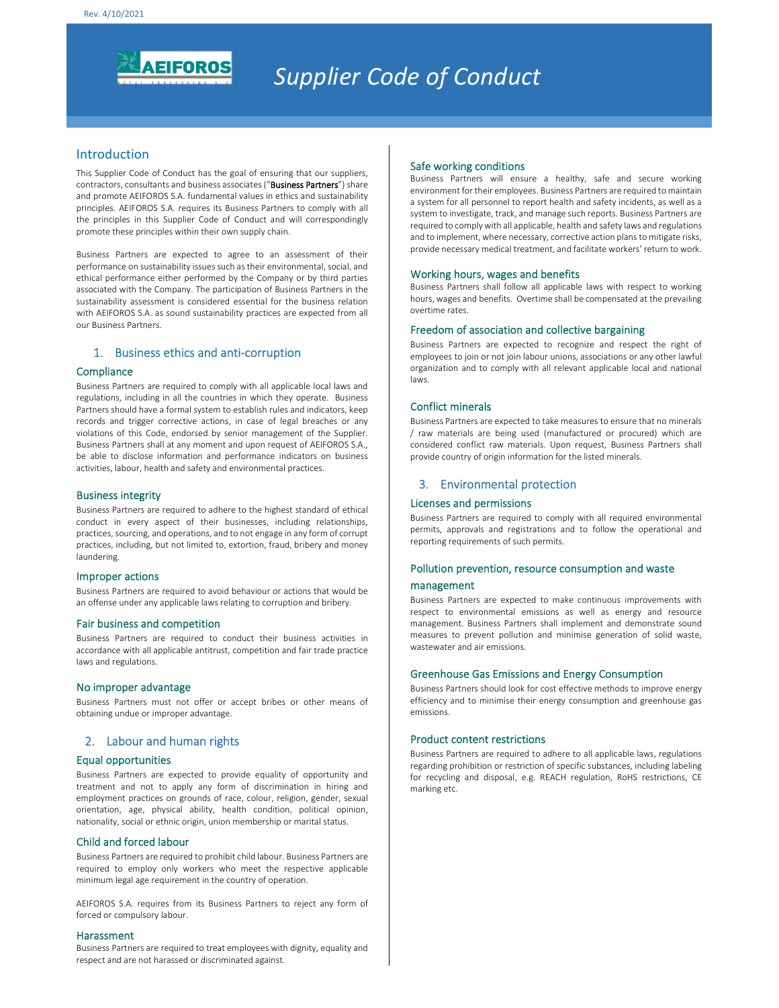

# *Supplier Code of Conduct*

## Introduction

This Supplier Code of Conduct has the goal of ensuring that our suppliers, contractors, consultants and business associates ("Business Partners") share and promote AEIFOROS S.A. fundamental values in ethics and sustainability principles. AEIFOROS S.A. requires its Business Partners to comply with all the principles in this Supplier Code of Conduct and will correspondingly promote these principles within their own supply chain.

Business Partners are expected to agree to an assessment of their performance on sustainability issues such as their environmental, social, and ethical performance either performed by the Company or by third parties associated with the Company. The participation of Business Partners in the sustainability assessment is considered essential for the business relation with AEIFOROS S.A. as sound sustainability practices are expected from all our Business Partners.

## 1. Business ethics and anti-corruption

#### **Compliance**

Business Partners are required to comply with all applicable local laws and regulations, including in all the countries in which they operate. Business Partners should have a formal system to establish rules and indicators, keep records and trigger corrective actions, in case of legal breaches or any violations of this Code, endorsed by senior management of the Supplier. Business Partners shall at any moment and upon request of AEIFOROS S.A., be able to disclose information and performance indicators on business activities, labour, health and safety and environmental practices.

## Business integrity

Business Partners are required to adhere to the highest standard of ethical conduct in every aspect of their businesses, including relationships, practices, sourcing, and operations, and to not engage in any form of corrupt practices, including, but not limited to, extortion, fraud, bribery and money laundering.

#### Improper actions

Business Partners are required to avoid behaviour or actions that would be an offense under any applicable laws relating to corruption and bribery.

#### Fair business and competition

Business Partners are required to conduct their business activities in accordance with all applicable antitrust, competition and fair trade practice laws and regulations.

#### No improper advantage

Business Partners must not offer or accept bribes or other means of obtaining undue or improper advantage.

## 2. Labour and human rights

#### Equal opportunities

Business Partners are expected to provide equality of opportunity and treatment and not to apply any form of discrimination in hiring and employment practices on grounds of race, colour, religion, gender, sexual orientation, age, physical ability, health condition, political opinion, nationality, social or ethnic origin, union membership or marital status.

#### Child and forced labour

Business Partners are required to prohibit child labour. Business Partners are required to employ only workers who meet the respective applicable minimum legal age requirement in the country of operation.

AEIFOROS S.A. requires from its Business Partners to reject any form of forced or compulsory labour.

#### Harassment

Business Partners are required to treat employees with dignity, equality and respect and are not harassed or discriminated against.

## Safe working conditions

Business Partners will ensure a healthy, safe and secure working environment for their employees. Business Partners are required to maintain a system for all personnel to report health and safety incidents, as well as a system to investigate, track, and manage such reports. Business Partners are required to comply with all applicable, health and safety laws and regulations and to implement, where necessary, corrective action plans to mitigate risks, provide necessary medical treatment, and facilitate workers' return to work.

#### Working hours, wages and benefits

Business Partners shall follow all applicable laws with respect to working hours, wages and benefits. Overtime shall be compensated at the prevailing overtime rates.

#### Freedom of association and collective bargaining

Business Partners are expected to recognize and respect the right of employees to join or not join labour unions, associations or any other lawful organization and to comply with all relevant applicable local and national laws.

## Conflict minerals

Business Partners are expected to take measures to ensure that no minerals / raw materials are being used (manufactured or procured) which are considered conflict raw materials. Upon request, Business Partners shall provide country of origin information for the listed minerals.

## 3. Environmental protection

#### Licenses and permissions

Business Partners are required to comply with all required environmental permits, approvals and registrations and to follow the operational and reporting requirements of such permits.

## Pollution prevention, resource consumption and waste

## management

Business Partners are expected to make continuous improvements with respect to environmental emissions as well as energy and resource management. Business Partners shall implement and demonstrate sound measures to prevent pollution and minimise generation of solid waste, wastewater and air emissions.

#### Greenhouse Gas Emissions and Energy Consumption

Business Partners should look for cost effective methods to improve energy efficiency and to minimise their energy consumption and greenhouse gas emissions.

#### Product content restrictions

Business Partners are required to adhere to all applicable laws, regulations regarding prohibition or restriction of specific substances, including labeling for recycling and disposal, e.g. REACH regulation, RoHS restrictions, CE marking etc.